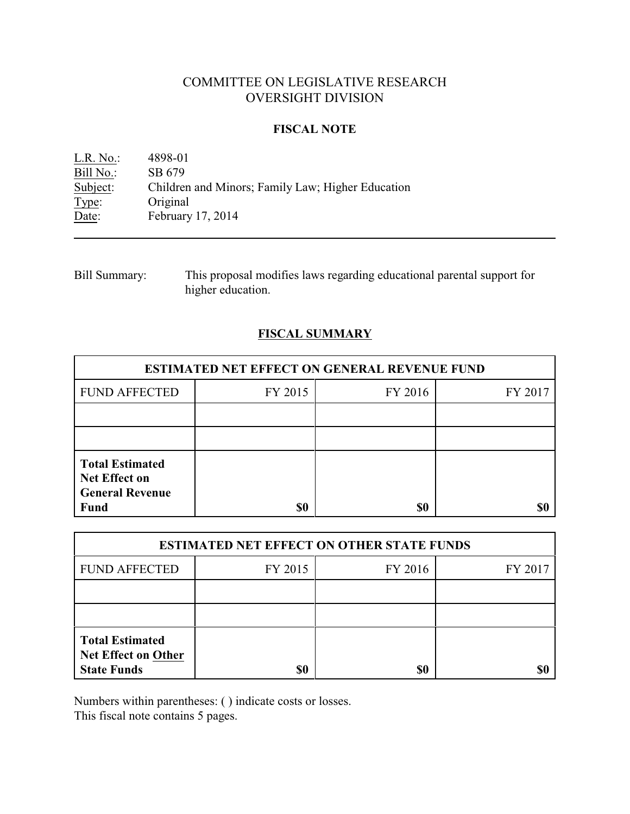# COMMITTEE ON LEGISLATIVE RESEARCH OVERSIGHT DIVISION

## **FISCAL NOTE**

L.R. No.: 4898-01<br>Bill No.: SB 679 Bill No.:<br>Subject: Subject: Children and Minors; Family Law; Higher Education Type: Original Type: Original<br>Date: February February 17, 2014

| Bill Summary: | This proposal modifies laws regarding educational parental support for |
|---------------|------------------------------------------------------------------------|
|               | higher education.                                                      |

## **FISCAL SUMMARY**

| <b>ESTIMATED NET EFFECT ON GENERAL REVENUE FUND</b>                                     |         |         |         |  |
|-----------------------------------------------------------------------------------------|---------|---------|---------|--|
| <b>FUND AFFECTED</b>                                                                    | FY 2015 | FY 2016 | FY 2017 |  |
|                                                                                         |         |         |         |  |
|                                                                                         |         |         |         |  |
| <b>Total Estimated</b><br><b>Net Effect on</b><br><b>General Revenue</b><br><b>Fund</b> | \$0     | \$0     |         |  |

| <b>ESTIMATED NET EFFECT ON OTHER STATE FUNDS</b>                           |         |         |         |  |
|----------------------------------------------------------------------------|---------|---------|---------|--|
| <b>FUND AFFECTED</b>                                                       | FY 2015 | FY 2016 | FY 2017 |  |
|                                                                            |         |         |         |  |
|                                                                            |         |         |         |  |
| <b>Total Estimated</b><br><b>Net Effect on Other</b><br><b>State Funds</b> | \$0     | \$0     |         |  |

Numbers within parentheses: ( ) indicate costs or losses.

This fiscal note contains 5 pages.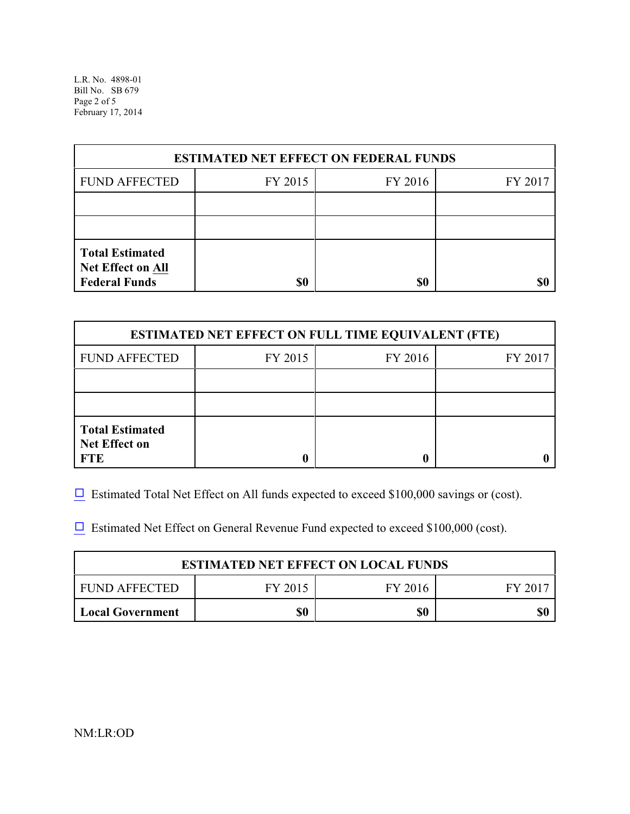L.R. No. 4898-01 Bill No. SB 679 Page 2 of 5 February 17, 2014

| <b>ESTIMATED NET EFFECT ON FEDERAL FUNDS</b>                        |         |         |         |  |
|---------------------------------------------------------------------|---------|---------|---------|--|
| <b>FUND AFFECTED</b>                                                | FY 2015 | FY 2016 | FY 2017 |  |
|                                                                     |         |         |         |  |
|                                                                     |         |         |         |  |
| <b>Total Estimated</b><br>Net Effect on All<br><b>Federal Funds</b> | \$0     | \$0     |         |  |

| <b>ESTIMATED NET EFFECT ON FULL TIME EQUIVALENT (FTE)</b>    |         |         |         |  |
|--------------------------------------------------------------|---------|---------|---------|--|
| <b>FUND AFFECTED</b>                                         | FY 2015 | FY 2016 | FY 2017 |  |
|                                                              |         |         |         |  |
|                                                              |         |         |         |  |
| <b>Total Estimated</b><br><b>Net Effect on</b><br><b>FTE</b> |         |         |         |  |

 $\Box$  Estimated Total Net Effect on All funds expected to exceed \$100,000 savings or (cost).

 $\Box$  Estimated Net Effect on General Revenue Fund expected to exceed \$100,000 (cost).

| <b>ESTIMATED NET EFFECT ON LOCAL FUNDS</b> |         |         |       |
|--------------------------------------------|---------|---------|-------|
| FUND AFFECTED                              | FY 2015 | FY 2016 | FV 20 |
| <b>Local Government</b>                    | \$0     | \$0     |       |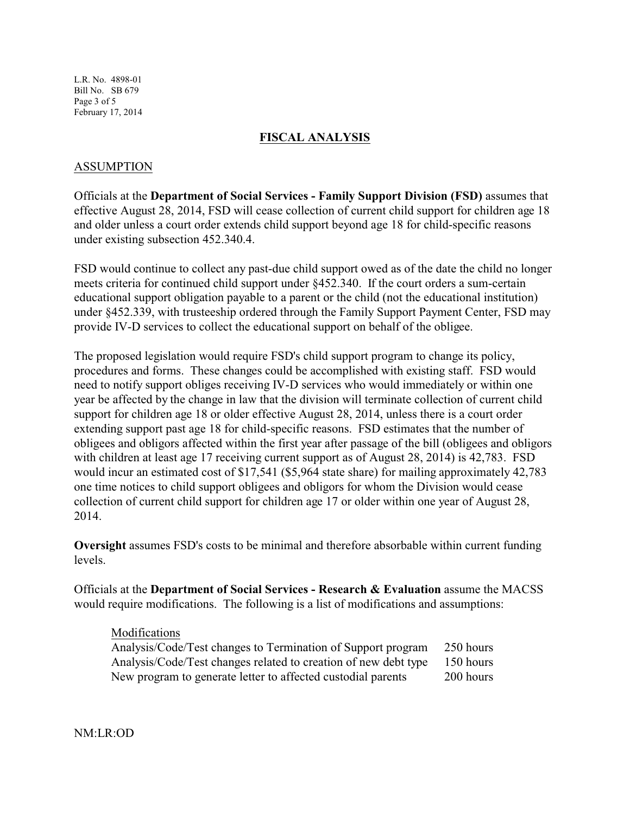L.R. No. 4898-01 Bill No. SB 679 Page 3 of 5 February 17, 2014

### **FISCAL ANALYSIS**

### ASSUMPTION

Officials at the **Department of Social Services - Family Support Division (FSD)** assumes that effective August 28, 2014, FSD will cease collection of current child support for children age 18 and older unless a court order extends child support beyond age 18 for child-specific reasons under existing subsection 452.340.4.

FSD would continue to collect any past-due child support owed as of the date the child no longer meets criteria for continued child support under §452.340. If the court orders a sum-certain educational support obligation payable to a parent or the child (not the educational institution) under §452.339, with trusteeship ordered through the Family Support Payment Center, FSD may provide IV-D services to collect the educational support on behalf of the obligee.

The proposed legislation would require FSD's child support program to change its policy, procedures and forms. These changes could be accomplished with existing staff. FSD would need to notify support obliges receiving IV-D services who would immediately or within one year be affected by the change in law that the division will terminate collection of current child support for children age 18 or older effective August 28, 2014, unless there is a court order extending support past age 18 for child-specific reasons. FSD estimates that the number of obligees and obligors affected within the first year after passage of the bill (obligees and obligors with children at least age 17 receiving current support as of August 28, 2014) is 42,783. FSD would incur an estimated cost of \$17,541 (\$5,964 state share) for mailing approximately 42,783 one time notices to child support obligees and obligors for whom the Division would cease collection of current child support for children age 17 or older within one year of August 28, 2014.

**Oversight** assumes FSD's costs to be minimal and therefore absorbable within current funding levels.

Officials at the **Department of Social Services - Research & Evaluation** assume the MACSS would require modifications. The following is a list of modifications and assumptions:

#### Modifications

| Analysis/Code/Test changes to Termination of Support program    | 250 hours |
|-----------------------------------------------------------------|-----------|
| Analysis/Code/Test changes related to creation of new debt type | 150 hours |
| New program to generate letter to affected custodial parents    | 200 hours |

NM:LR:OD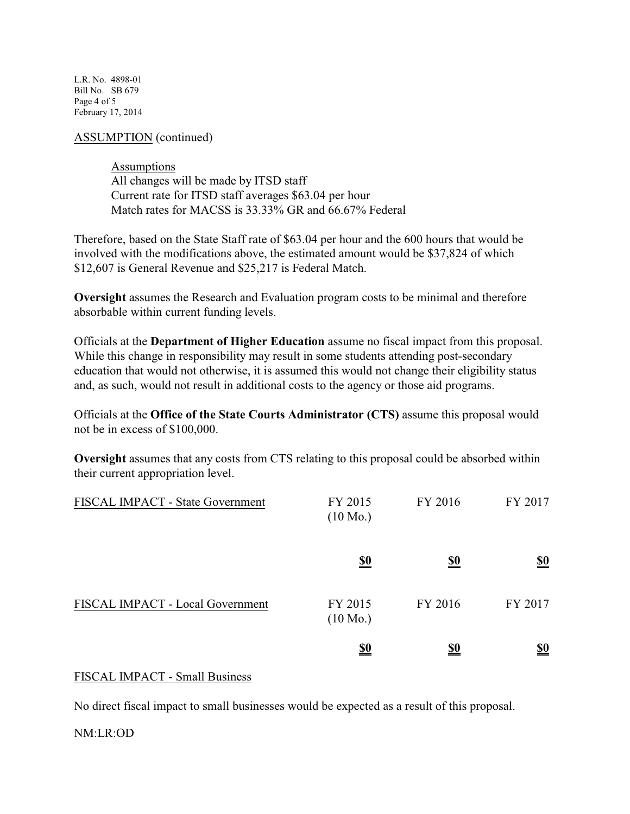L.R. No. 4898-01 Bill No. SB 679 Page 4 of 5 February 17, 2014

ASSUMPTION (continued)

**Assumptions** All changes will be made by ITSD staff Current rate for ITSD staff averages \$63.04 per hour Match rates for MACSS is 33.33% GR and 66.67% Federal

Therefore, based on the State Staff rate of \$63.04 per hour and the 600 hours that would be involved with the modifications above, the estimated amount would be \$37,824 of which \$12,607 is General Revenue and \$25,217 is Federal Match.

**Oversight** assumes the Research and Evaluation program costs to be minimal and therefore absorbable within current funding levels.

Officials at the **Department of Higher Education** assume no fiscal impact from this proposal. While this change in responsibility may result in some students attending post-secondary education that would not otherwise, it is assumed this would not change their eligibility status and, as such, would not result in additional costs to the agency or those aid programs.

Officials at the **Office of the State Courts Administrator (CTS)** assume this proposal would not be in excess of \$100,000.

**Oversight** assumes that any costs from CTS relating to this proposal could be absorbed within their current appropriation level.

| FISCAL IMPACT - State Government | FY 2015<br>$(10 \text{ Mo.})$ | FY 2016    | FY 2017                       |
|----------------------------------|-------------------------------|------------|-------------------------------|
|                                  | <u>\$0</u>                    | <u>\$0</u> | $\underline{\underline{\$0}}$ |
| FISCAL IMPACT - Local Government | FY 2015<br>$(10 \text{ Mo.})$ | FY 2016    | FY 2017                       |
|                                  | <u>\$0</u>                    | <u>\$0</u> | $\underline{\underline{\$0}}$ |

## FISCAL IMPACT - Small Business

No direct fiscal impact to small businesses would be expected as a result of this proposal.

NM:LR:OD